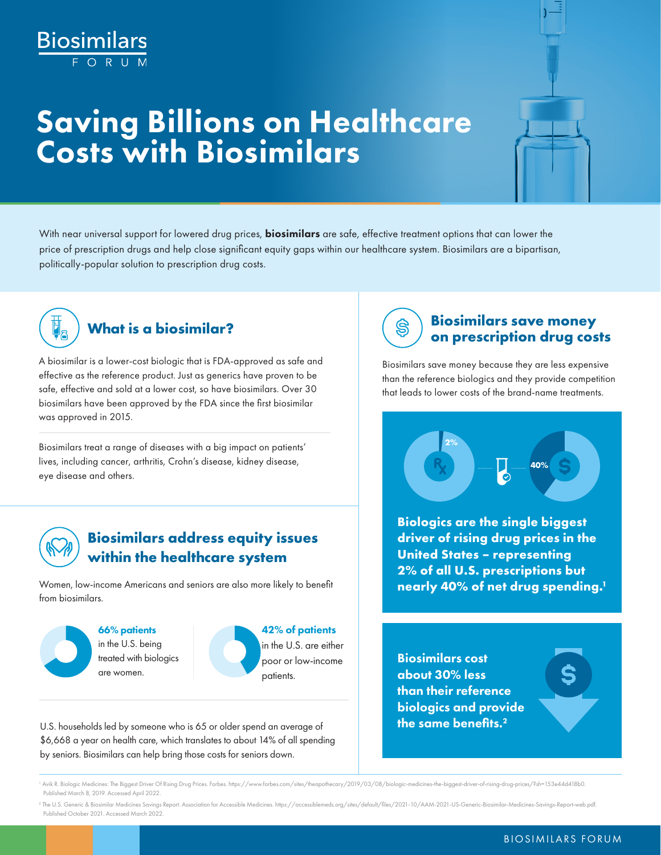# Biosimilars

## Saving Billions on Healthcare Costs with Biosimilars



With near universal support for lowered drug prices, **biosimilars** are safe, effective treatment options that can lower the price of prescription drugs and help close significant equity gaps within our healthcare system. Biosimilars are a bipartisan, politically-popular solution to prescription drug costs.



A biosimilar is a lower-cost biologic that is FDA-approved as safe and effective as the reference product. Just as generics have proven to be safe, effective and sold at a lower cost, so have biosimilars. Over 30 biosimilars have been approved by the FDA since the first biosimilar was approved in 2015.

Biosimilars treat a range of diseases with a big impact on patients' lives, including cancer, arthritis, Crohn's disease, kidney disease, eye disease and others.



#### **Biosimilars address equity issues within the healthcare system**

Women, low-income Americans and seniors are also more likely to benefit from biosimilars.



66% patients in the U.S. being treated with biologics are women.



U.S. households led by someone who is 65 or older spend an average of \$6,668 a year on health care, which translates to about 14% of all spending by seniors. Biosimilars can help bring those costs for seniors down.

#### **What is a biosimilar? Biosimilars save money on prescription drug costs**

Biosimilars save money because they are less expensive than the reference biologics and they provide competition that leads to lower costs of the brand-name treatments.



**Biologics are the single biggest driver of rising drug prices in the United States – representing 2% of all U.S. prescriptions but nearly 40% of net drug spending.1**

Biosimilars cost about 30% less than their reference biologics and provide the same benefits.<sup>2</sup>

<sup>1</sup> Avik R. Biologic Medicines: The Biggest Driver Of Rising Drug Prices. Forbes. [https://www.forbes.com/sites/theapothecary/2019/03/08/biologic-medicines-the-biggest-driver-of-rising-drug-prices/?sh=153e44d418b0.](https://www.forbes.com/sites/theapothecary/2019/03/08/biologic-medicines-the-biggest-driver-of-rising-drug-prices/?sh=76589af718b0) Published March 8, 2019. Accessed April 2022.

<sup>2</sup> The U.S. Generic & Biosimilar Medicines Savings Report. Association for Accessible Medicines. [https://accessiblemeds.org/sites/default/files/2021-10/AAM-2021-US-Generic-Biosimilar-Medicines-Savings-Report-web.pdf.](https://accessiblemeds.org/sites/default/files/2021-10/AAM-2021-US-Generic-Biosimilar-Medicines-Savings-Report-web.pdf) Published October 2021. Accessed March 2022.